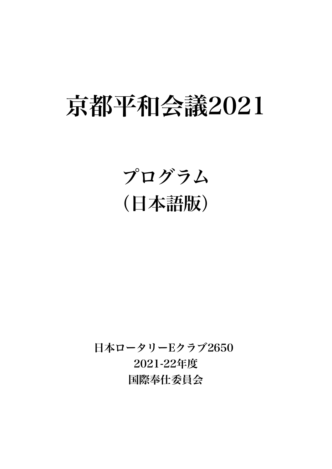# 京都平和会議2021

# プログラム (日本語版)

日本ロータリーEクラブ2650 2021-22年度 国際奉仕委員会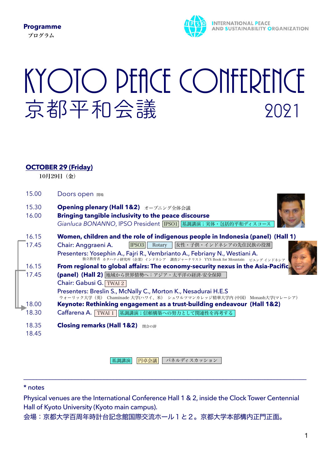

# KYOTO PEACE CONFERENCE 京都平和会議 2021

### **OCTOBER 29 (Friday)**

10月29日(金)

| 15.00          | Doors open <sub>開場</sub>                                                                                                                                    |
|----------------|-------------------------------------------------------------------------------------------------------------------------------------------------------------|
| 15.30<br>16.00 | Opening plenary (Hall 1&2) オープニング全体会議<br>Bringing tangible inclusivity to the peace discourse<br>Gianluca BONANNO, IPSO President IPSO1 基調講演;実体・包括的平和ディスコース |
| 16.15          | Women, children and the role of indigenous people in Indonesia (panel) (Hall 1)                                                                             |
| 17.45          | 女性・子供・インドネシアの先住民族の役割<br>Chair: Anggraeni A.<br>IPSO <sub>3</sub><br>Rotary                                                                                  |
|                | Presenters: Yosephin A., Fajri R., Vembrianto A., Febriany N., Westiani A.<br>独立教育者 カタハティ研究所 (企業) インドネシア 調査ジャーナリスト YYS Book for Mountain ビュング インドネシア        |
| 16.15          | From regional to global affairs: The economy-security nexus in the Asia-Pacific                                                                             |
| 17.45          | (panel) (Hall 2) 地域から世界情勢へ:アジア・太平洋の経済-安全保障                                                                                                                  |
|                | Chair: Gabusi G. TWAI 2                                                                                                                                     |
|                | Presenters: Breslin S., McNally C., Morton K., Nesadurai H.E.S<br>ウォーリック大学 (英) Chaminade 大学(ハワイ、米) シュワルツマンカレッジ精華大学内 (中国) Monash大学(マレーシア)                    |
| 18.00          | Keynote: Rethinking engagement as a trust-building endeavour (Hall 1&2)                                                                                     |
| 18.30          | Caffarena A.<br>TWAI 1 基調講演;信頼構築への努力として関連性を再考する                                                                                                             |
| 18.35          | <b>Closing remarks (Hall 1&amp;2)</b><br>閉会の辞                                                                                                               |
| 18.45          |                                                                                                                                                             |

|基調講演 円卓会議 パネルディスカッション

\_\_\_\_\_\_\_\_\_\_\_\_\_\_\_\_\_\_\_\_\_\_\_\_\_\_\_\_\_\_\_\_\_\_\_\_\_\_\_\_\_\_\_\_\_\_\_\_\_\_\_\_\_\_\_\_\_\_\_\_\_\_\_\_\_\_\_\_\_\_\_\_\_\_\_\_\_\_\_\_\_\_\_\_\_\_\_\_

#### \* notes

Physical venues are the International Conference Hall 1 & 2, inside the Clock Tower Centennial Hall of Kyoto University (Kyoto main campus).

会場:京都大学百周年時計台記念館国際交流ホール1と2。京都大学本部構内正門正面。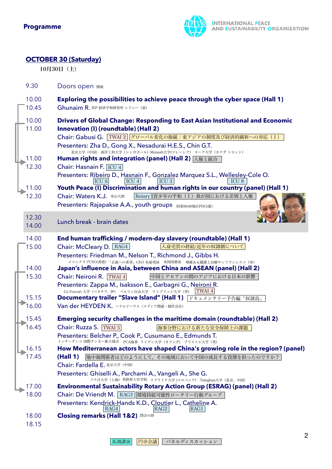

## **OCTOBER 30 (Saturday)**

10月30日(土)

9.30 Doors open 開場

| 10.00 | Exploring the possibilities to achieve peace through the cyber space (Hall 1)                                                          |
|-------|----------------------------------------------------------------------------------------------------------------------------------------|
| 10.45 | Ghunaim R. IEP 経済平和研究所 シドニー (豪)                                                                                                        |
| 10.00 | <b>Drivers of Global Change: Responding to East Asian Institutional and Economic</b>                                                   |
| 11.00 | Innovation (I) (roundtable) (Hall 2)                                                                                                   |
|       | Chair: Gabusi G. TWAI 2 グローバル変化の操縦:東アジアの制度及び経済的刷新への対応(I)                                                                               |
|       | Presenters: Zha D., Gong X., Nesadurai H.E.S., Chin G.T.                                                                               |
| 11.00 | 北京大学 (中国) 南洋工科大学 (シンガポール) Monash大学(マレーシア) ヨーク大学 (カナダ トロント)<br>Human rights and integration (panel) (Hall 2) 人権と統合                      |
| 12.30 | Chair: Hasnain F. ICU 4                                                                                                                |
|       |                                                                                                                                        |
|       | Presenters: Ribeiro D., Hasnain F., Gonzalez Marquez S.L., Wellesley-Cole O.<br>ICU <sub>6</sub><br>ICU <sub>3</sub><br>ICU 4<br>ICU 8 |
| 11.00 | Youth Peace (I) Discrimination and human rights in our country (panel) (Hall 1)                                                        |
| 12.30 | Rotary   青少年の平和(Ⅰ)我が国における差別と人権<br>Chair: Waters K.J. 米山大使                                                                              |
|       | Presenters: Rajapakse A.A., youth groups RI#9640地区PDG(豪)                                                                               |
| 12.30 |                                                                                                                                        |
| 14.00 | Lunch break - brain dates                                                                                                              |
|       |                                                                                                                                        |
| 14.00 | End human trafficking / modern-day slavery (roundtable) (Hall 1)                                                                       |
| 15.00 | 人身売買の終結/近年の奴隷制について<br>Chair: McCleary D. RAG4                                                                                          |
|       | Presenters: Friedman M., Nelson T., Richmond J., Gibbs H.                                                                              |
| 14.00 | メコンクラブCEO(香港) 「正義への希望」CEO 本部英国 米国国務省 尊厳ある健康と治療サンフランシスコ (米)<br>Japan's influence in Asia, between China and ASEAN (panel) (Hall 2)      |
| 15.30 | Chair: Neironi R. TWAI 4<br>中国とアセアンの間のアジアにおける日本の影響                                                                                     |
|       | Presenters: Zappa M., Isaksson E., Garbagni G., Neironi R.                                                                             |
|       | Ca Foscari 大学 (ベネチア、伊) ベルリン自由大学 ケンブリッジ大学 (英)<br>TWAI 4                                                                                 |
| 15.15 | Documentary trailer "Slave Island" (Hall 1) 下キュメンタリー予告編「奴隷島」                                                                           |
| 16.00 | Van der HEYDEN K. ハラルドハウス (メディア関連・制作会社)                                                                                                |
| 15.45 | Emerging security challenges in the maritime domain (roundtable) (Hall 2)                                                              |
| 16.45 | Chair: Ruzza S. TWAI 5<br>海事分野における新たな安全保障上の課題                                                                                          |
|       | Presenters: Belcher P., Cook P., Cusumano E., Edmunds T.                                                                               |
| 16.15 | インタータンコ 国際タンカー船主協会 PCA海事 ライデン大学 (オランダ) ブリストル大学 (英)<br>How Mediterranean actors have shaped China's growing role in the region? (panel) |
| 17.45 | 地中海関係者はどのようにして、その地域において中国の成長する役割を担ったのですか?<br>(Hall 1)                                                                                  |
|       | Chair: Fardella E. 北京大学 (中国)                                                                                                           |
|       | Presenters: Ghiselli A., Parchami A., Vangeli A., She G.                                                                               |
|       | フク旦大学 (上海) 英陸軍士官学校 リブライナ大学 (スロベニア) Tsinghua大学 (北京、中国)                                                                                  |
| 17.00 | <b>Environmental Sustainability Rotary Action Group (ESRAG) (panel) (Hall 2)</b>                                                       |
| 18.00 | Chair: De Vriendt M. RAG3 環境持続可能性ロータリー行動グループ                                                                                           |
|       | Presenters: Kendrick-Hands K.D., Cloutier L., Catheline A.<br>RAG4                                                                     |
| 18.00 | RAG <sub>2</sub><br>RAGI<br><b>Closing remarks (Hall 1&amp;2) <sub>閉会の辞</sub></b>                                                      |
| 18.15 |                                                                                                                                        |
|       |                                                                                                                                        |